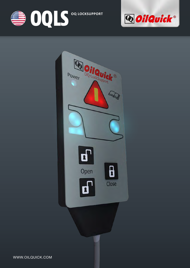





WWW.OILQUICK.COM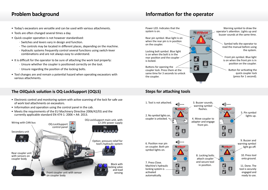- Today's excavators are versatile and can be used with various attachments. •
- Tools are often changed several times a day. •
- Quick coupler operation is not however standardised:
	- Switches and levers vary in design and function.
	- The controls may be located in different places, depending on the machine. -
	- Hydraulic systems frequently control several functions using switch-lever combinations and are not always easy to understand.
- It is difficult for the operator to be sure of attaching the work tool properly:
	- Unsure whether the coupler is positioned correctly on the tool.
	- Unsure regarding the position of the locking bolts.
- Tool changes are and remain a potential hazard when operating excavators with various attachments.

### **The OilQuick solution is OQ-LockSupport (OQLS) Steps for attaching tools**

- Electronic control and monitoring system with active scanning of the lock for safe use of work tool attachments on excavators.
- Information and operation using the control panel in the cab.
- Meets the requirements of the EU Machinery Directive 2006/42/EG and the currently applicable standard EN 474-1: 2006 + A4: 2013.



## **Problem background Information for the operator**